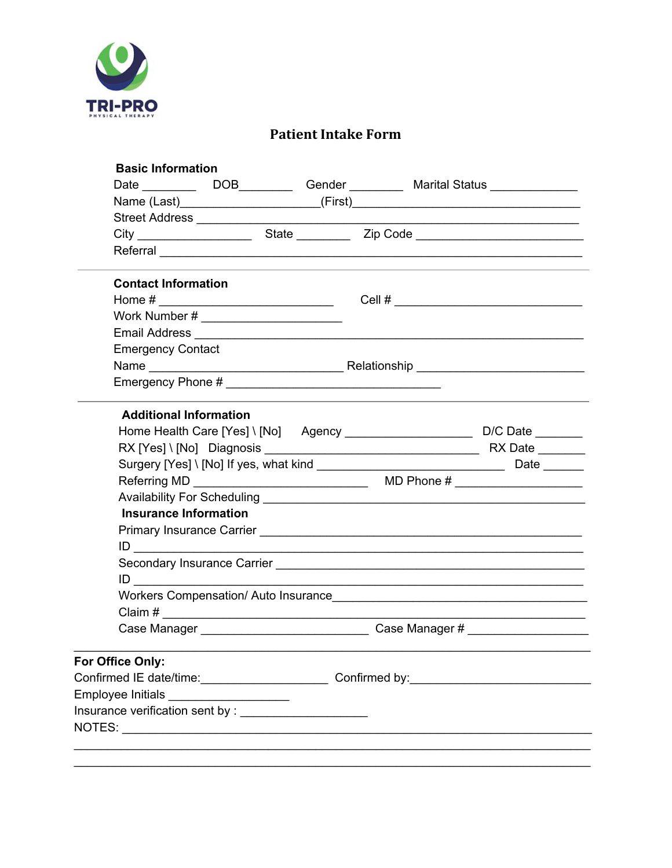

#### **Patient Intake Form**

| <b>Basic Information</b>                            |                                                                                                                  |  |  |  |
|-----------------------------------------------------|------------------------------------------------------------------------------------------------------------------|--|--|--|
|                                                     |                                                                                                                  |  |  |  |
|                                                     |                                                                                                                  |  |  |  |
|                                                     |                                                                                                                  |  |  |  |
|                                                     |                                                                                                                  |  |  |  |
|                                                     | and the control of the control of the control of the control of the control of the control of the control of the |  |  |  |
| <b>Contact Information</b>                          |                                                                                                                  |  |  |  |
|                                                     | Home # _______________________________  Cell # _________________________________                                 |  |  |  |
|                                                     |                                                                                                                  |  |  |  |
|                                                     |                                                                                                                  |  |  |  |
| <b>Emergency Contact</b>                            |                                                                                                                  |  |  |  |
|                                                     |                                                                                                                  |  |  |  |
|                                                     |                                                                                                                  |  |  |  |
| <b>Additional Information</b>                       |                                                                                                                  |  |  |  |
|                                                     | Home Health Care [Yes] \ [No] Agency _________________________________D/C Date _________                         |  |  |  |
|                                                     |                                                                                                                  |  |  |  |
|                                                     |                                                                                                                  |  |  |  |
|                                                     |                                                                                                                  |  |  |  |
|                                                     |                                                                                                                  |  |  |  |
| <b>Insurance Information</b>                        |                                                                                                                  |  |  |  |
|                                                     |                                                                                                                  |  |  |  |
|                                                     |                                                                                                                  |  |  |  |
|                                                     |                                                                                                                  |  |  |  |
| ID                                                  |                                                                                                                  |  |  |  |
|                                                     |                                                                                                                  |  |  |  |
|                                                     |                                                                                                                  |  |  |  |
|                                                     | Case Manager example a Case Manager #                                                                            |  |  |  |
| For Office Only:                                    |                                                                                                                  |  |  |  |
| Confirmed IE date/time: Confirmed by: Confirmed by: |                                                                                                                  |  |  |  |
| Employee Initials _______________________           |                                                                                                                  |  |  |  |
|                                                     |                                                                                                                  |  |  |  |
|                                                     |                                                                                                                  |  |  |  |
|                                                     |                                                                                                                  |  |  |  |
|                                                     |                                                                                                                  |  |  |  |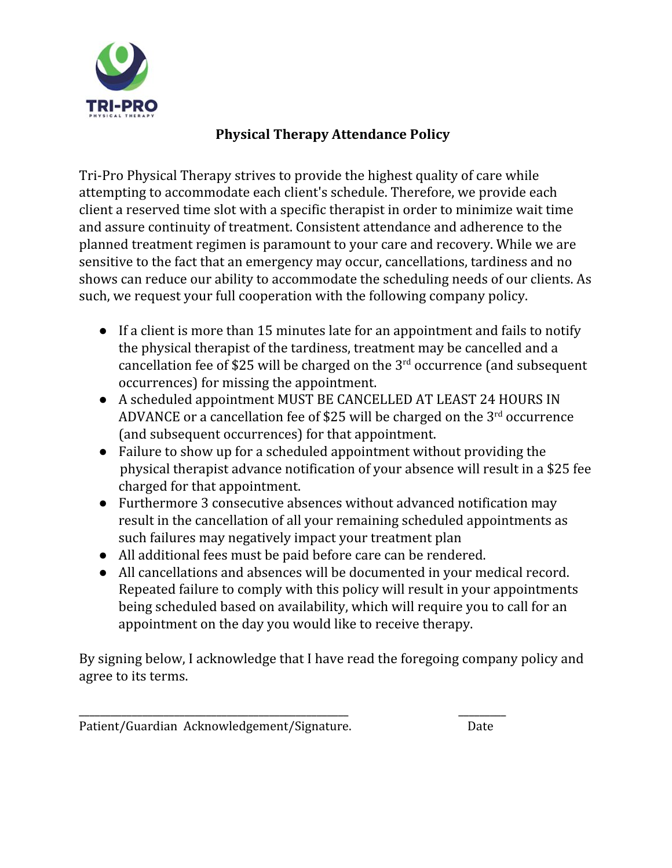

#### **Physical Therapy Attendance Policy**

Tri-Pro Physical Therapy strives to provide the highest quality of care while attempting to accommodate each client's schedule. Therefore, we provide each client a reserved time slot with a specific therapist in order to minimize wait time and assure continuity of treatment. Consistent attendance and adherence to the planned treatment regimen is paramount to your care and recovery. While we are sensitive to the fact that an emergency may occur, cancellations, tardiness and no shows can reduce our ability to accommodate the scheduling needs of our clients. As such, we request your full cooperation with the following company policy.

- If a client is more than 15 minutes late for an appointment and fails to notify the physical therapist of the tardiness, treatment may be cancelled and a cancellation fee of \$25 will be charged on the  $3<sup>rd</sup>$  occurrence (and subsequent occurrences) for missing the appointment.
- A scheduled appointment MUST BE CANCELLED AT LEAST 24 HOURS IN ADVANCE or a cancellation fee of \$25 will be charged on the  $3<sup>rd</sup>$  occurrence (and subsequent occurrences) for that appointment.
- Failure to show up for a scheduled appointment without providing the physical therapist advance notification of your absence will result in a \$25 fee charged for that appointment.
- Furthermore 3 consecutive absences without advanced notification may result in the cancellation of all your remaining scheduled appointments as such failures may negatively impact your treatment plan
- All additional fees must be paid before care can be rendered.
- All cancellations and absences will be documented in your medical record. Repeated failure to comply with this policy will result in your appointments being scheduled based on availability, which will require you to call for an appointment on the day you would like to receive therapy.

By signing below, I acknowledge that I have read the foregoing company policy and agree to its terms.

Patient/Guardian Acknowledgement/Signature. Date

\_\_\_\_\_\_\_\_\_\_\_\_\_\_\_\_\_\_\_\_\_\_\_\_\_\_\_\_\_\_\_\_\_\_\_\_\_\_\_\_\_\_\_\_\_\_\_\_\_\_\_ \_\_\_\_\_\_\_\_\_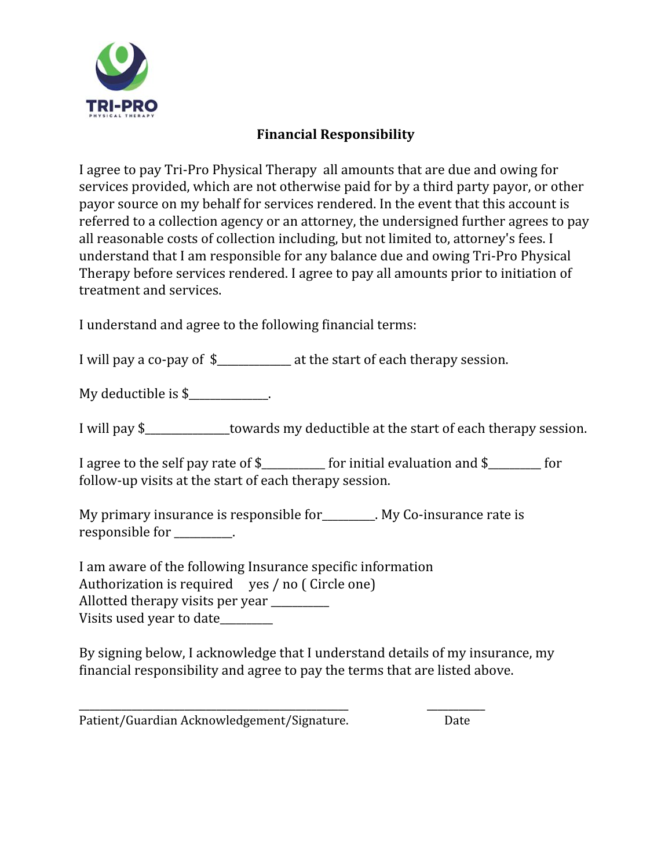

#### **Financial Responsibility**

I agree to pay Tri-Pro Physical Therapy all amounts that are due and owing for services provided, which are not otherwise paid for by a third party payor, or other payor source on my behalf for services rendered. In the event that this account is referred to a collection agency or an attorney, the undersigned further agrees to pay all reasonable costs of collection including, but not limited to, attorney's fees. I understand that I am responsible for any balance due and owing Tri-Pro Physical Therapy before services rendered. I agree to pay all amounts prior to initiation of treatment and services.

I understand and agree to the following financial terms:

I will pay a co-pay of \$\_\_\_\_\_\_\_\_\_\_\_\_\_\_ at the start of each therapy session.

My deductible is \$\_\_\_\_\_\_\_\_\_\_\_\_.

I will pay \$ towards my deductible at the start of each therapy session.

I agree to the self pay rate of \$\_\_\_\_\_\_\_\_\_\_\_\_ for initial evaluation and \$\_\_\_\_\_\_\_\_\_\_ for follow-up visits at the start of each therapy session.

My primary insurance is responsible for\_\_\_\_\_\_\_\_\_\_. My Co-insurance rate is responsible for  $\qquad \qquad$ .

I am aware of the following Insurance specific information

Authorization is required yes / no ( Circle one)

Allotted therapy visits per year

Visits used year to date\_\_\_\_\_\_\_\_\_\_

By signing below, I acknowledge that I understand details of my insurance, my financial responsibility and agree to pay the terms that are listed above.

\_\_\_\_\_\_\_\_\_\_\_\_\_\_\_\_\_\_\_\_\_\_\_\_\_\_\_\_\_\_\_\_\_\_\_\_\_\_\_\_\_\_\_\_\_\_\_\_\_\_\_ \_\_\_\_\_\_\_\_\_\_\_ Patient/Guardian Acknowledgement/Signature. Date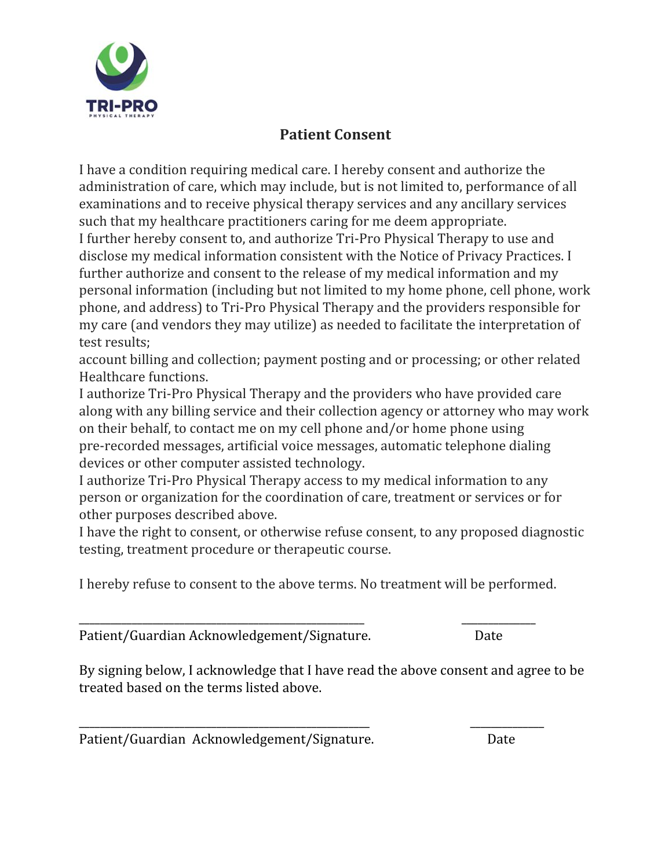

# **Patient Consent**

I have a condition requiring medical care. I hereby consent and authorize the administration of care, which may include, but is not limited to, performance of all examinations and to receive physical therapy services and any ancillary services such that my healthcare practitioners caring for me deem appropriate. I further hereby consent to, and authorize Tri-Pro Physical Therapy to use and disclose my medical information consistent with the Notice of Privacy Practices. I further authorize and consent to the release of my medical information and my personal information (including but not limited to my home phone, cell phone, work phone, and address) to Tri-Pro Physical Therapy and the providers responsible for my care (and vendors they may utilize) as needed to facilitate the interpretation of test results;

account billing and collection; payment posting and or processing; or other related Healthcare functions.

I authorize Tri-Pro Physical Therapy and the providers who have provided care along with any billing service and their collection agency or attorney who may work on their behalf, to contact me on my cell phone and/or home phone using pre-recorded messages, artificial voice messages, automatic telephone dialing devices or other computer assisted technology.

I authorize Tri-Pro Physical Therapy access to my medical information to any person or organization for the coordination of care, treatment or services or for other purposes described above.

I have the right to consent, or otherwise refuse consent, to any proposed diagnostic testing, treatment procedure or therapeutic course.

I hereby refuse to consent to the above terms. No treatment will be performed.

\_\_\_\_\_\_\_\_\_\_\_\_\_\_\_\_\_\_\_\_\_\_\_\_\_\_\_\_\_\_\_\_\_\_\_\_\_\_\_\_\_\_\_\_\_\_\_\_\_\_\_\_\_\_ \_\_\_\_\_\_\_\_\_\_\_\_\_\_

\_\_\_\_\_\_\_\_\_\_\_\_\_\_\_\_\_\_\_\_\_\_\_\_\_\_\_\_\_\_\_\_\_\_\_\_\_\_\_\_\_\_\_\_\_\_\_\_\_\_\_\_\_\_\_ \_\_\_\_\_\_\_\_\_\_\_\_\_\_

Patient/Guardian Acknowledgement/Signature. Date

By signing below, I acknowledge that I have read the above consent and agree to be treated based on the terms listed above.

Patient/Guardian Acknowledgement/Signature. Date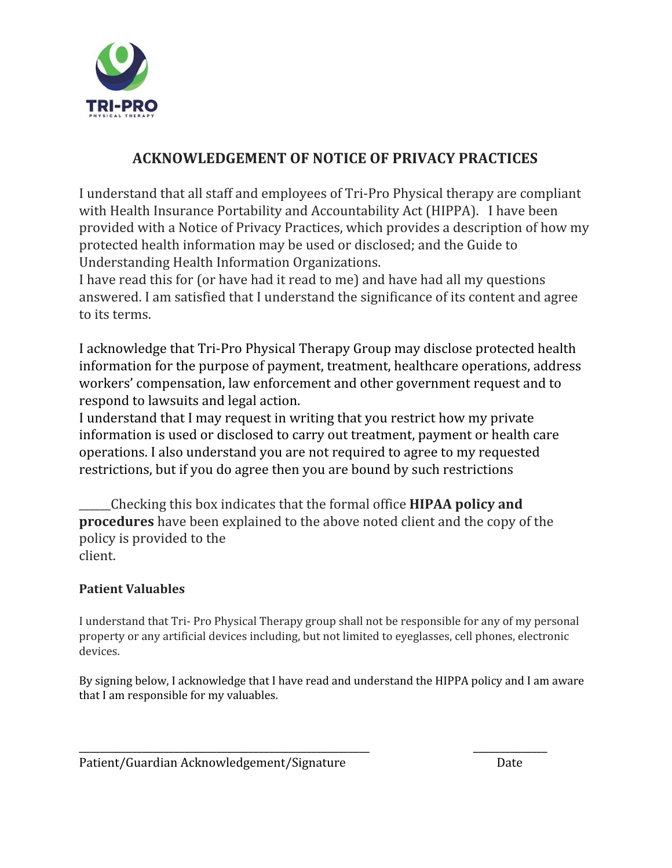

# **ACKNOWLEDGEMENT OF NOTICE OF PRIVACY PRACTICES**

I understand that all staff and employees of Tri-Pro Physical therapy are compliant with Health Insurance Portability and Accountability Act (HIPPA). I have been provided with a Notice of Privacy Practices, which provides a description of how my protected health information may be used or disclosed; and the Guide to Understanding Health Information Organizations.

I have read this for (or have had it read to me) and have had all my questions answered. I am satisfied that I understand the significance of its content and agree to its terms.

I acknowledge that Tri-Pro Physical Therapy Group may disclose protected health information for the purpose of payment, treatment, healthcare operations, address workers' compensation, law enforcement and other government request and to respond to lawsuits and legal action.

I understand that I may request in writing that you restrict how my private information is used or disclosed to carry out treatment, payment or health care operations. I also understand you are not required to agree to my requested restrictions, but if you do agree then you are bound by such restrictions

\_\_\_\_\_\_Checking this box indicates that the formal office **HIPAA policy and procedures** have been explained to the above noted client and the copy of the policy is provided to the client.

#### **Patient Valuables**

I understand that Tri- Pro Physical Therapy group shall not be responsible for any of my personal property or any artificial devices including, but not limited to eyeglasses, cell phones, electronic devices.

By signing below, I acknowledge that I have read and understand the HIPPA policy and I am aware that I am responsible for my valuables.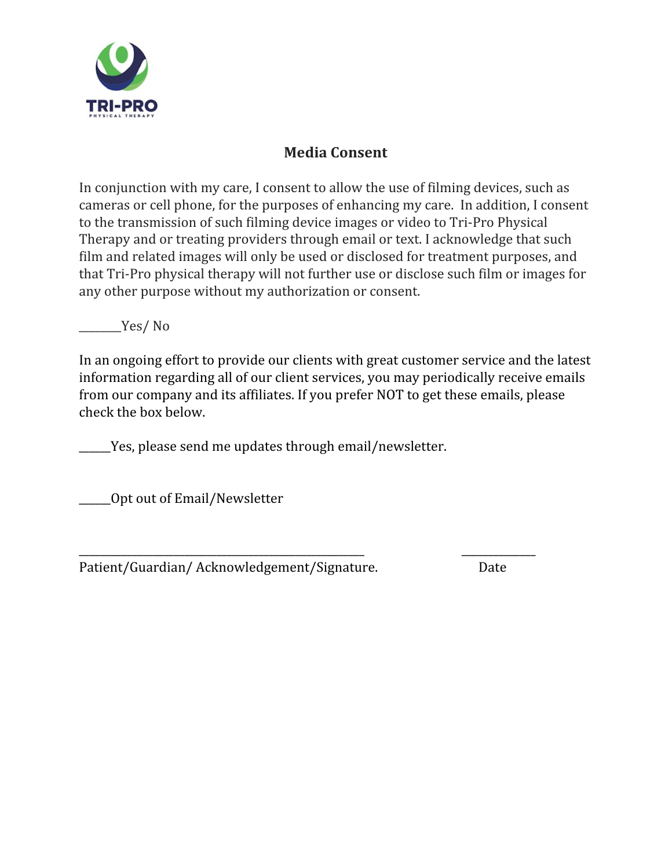

# **Media Consent**

In conjunction with my care, I consent to allow the use of filming devices, such as cameras or cell phone, for the purposes of enhancing my care. In addition, I consent to the transmission of such filming device images or video to Tri-Pro Physical Therapy and or treating providers through email or text. I acknowledge that such film and related images will only be used or disclosed for treatment purposes, and that Tri-Pro physical therapy will not further use or disclose such film or images for any other purpose without my authorization or consent.

\_\_\_\_\_\_\_\_Yes/ No

In an ongoing effort to provide our clients with great customer service and the latest information regarding all of our client services, you may periodically receive emails from our company and its affiliates. If you prefer NOT to get these emails, please check the box below.

Yes, please send me updates through email/newsletter.

\_\_\_\_\_\_Opt out of Email/Newsletter

\_\_\_\_\_\_\_\_\_\_\_\_\_\_\_\_\_\_\_\_\_\_\_\_\_\_\_\_\_\_\_\_\_\_\_\_\_\_\_\_\_\_\_\_\_\_\_\_\_\_\_\_\_\_ \_\_\_\_\_\_\_\_\_\_\_\_\_\_ Patient/Guardian/ Acknowledgement/Signature. Date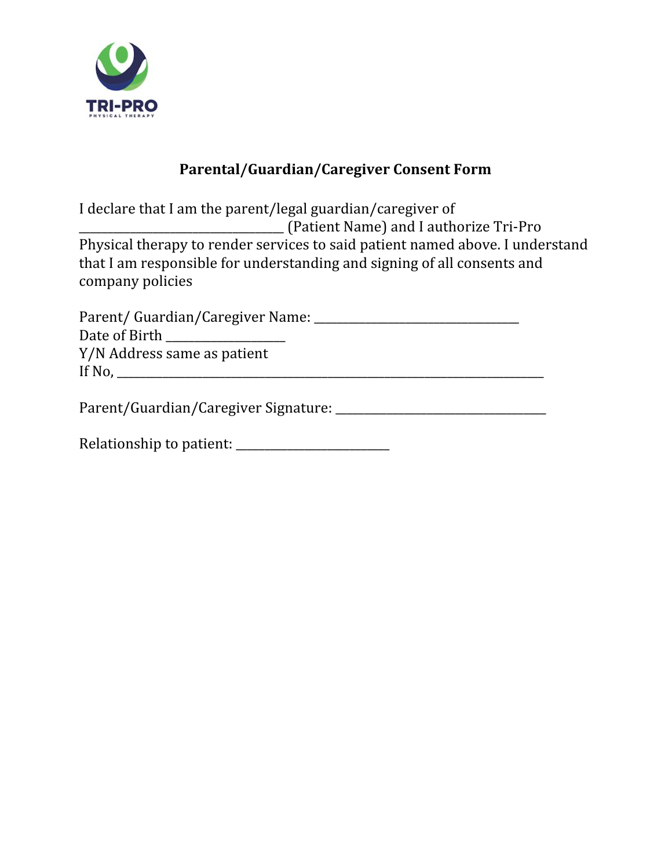

# **Parental/Guardian/Caregiver Consent Form**

I declare that I am the parent/legal guardian/caregiver of \_\_\_\_\_\_\_\_\_\_\_\_\_\_\_\_\_\_\_\_\_\_\_\_\_\_\_\_\_\_\_\_\_\_\_\_ (Patient Name) and I authorize Tri-Pro Physical therapy to render services to said patient named above. I understand that I am responsible for understanding and signing of all consents and company policies

| Parent/Guardian/Caregiver Name: __ |  |
|------------------------------------|--|
| Date of Birth                      |  |
| Y/N Address same as patient        |  |
| If No.                             |  |
|                                    |  |

Parent/Guardian/Caregiver Signature: \_\_\_\_\_\_\_\_\_\_\_\_\_\_\_\_\_\_\_\_\_\_\_\_\_\_\_\_\_\_\_\_\_\_\_\_\_

Relationship to patient: \_\_\_\_\_\_\_\_\_\_\_\_\_\_\_\_\_\_\_\_\_\_\_\_\_\_\_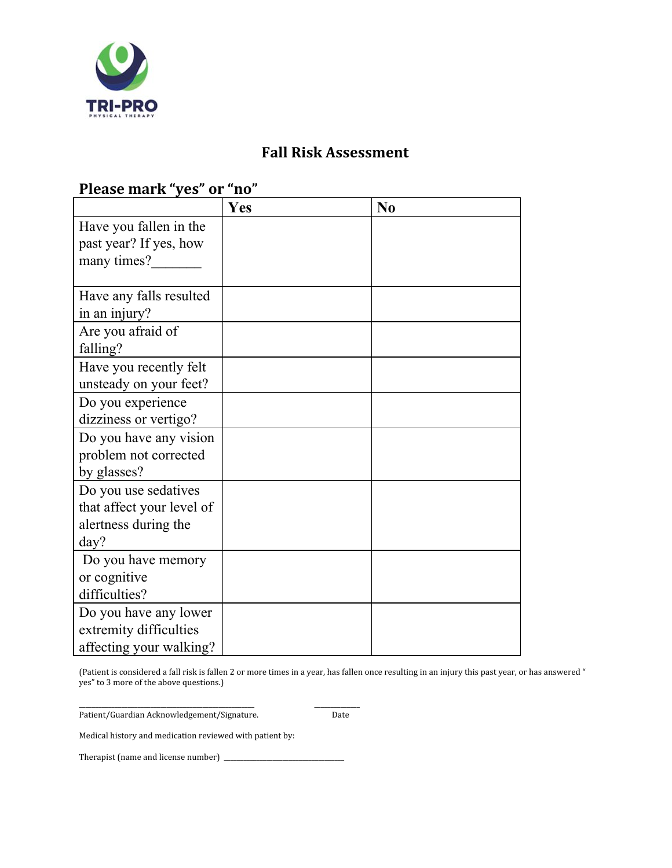

#### **Fall Risk Assessment**

### **Yes No** Have you fallen in the past year? If yes, how many times?\_\_\_\_\_\_\_ Have any falls resulted in an injury? Are you afraid of falling? Have you recently felt unsteady on your feet? Do you experience dizziness or vertigo? Do you have any vision problem not corrected by glasses? Do you use sedatives that affect your level of alertness during the day? Do you have memory or cognitive difficulties? Do you have any lower extremity difficulties affecting your walking?

**Please mark "yes" or "no"**

(Patient is considered a fall risk is fallen 2 or more times in a year, has fallen once resulting in an injury this past year, or has answered " yes" to 3 more of the above questions.)

\_\_\_\_\_\_\_\_\_\_\_\_\_\_\_\_\_\_\_\_\_\_\_\_\_\_\_\_\_\_\_\_\_\_\_\_\_\_\_\_\_\_\_\_\_\_\_\_\_\_\_\_\_\_ \_\_\_\_\_\_\_\_\_\_\_\_\_\_ Patient/Guardian Acknowledgement/Signature. Date

Medical history and medication reviewed with patient by:

Therapist (name and license number) \_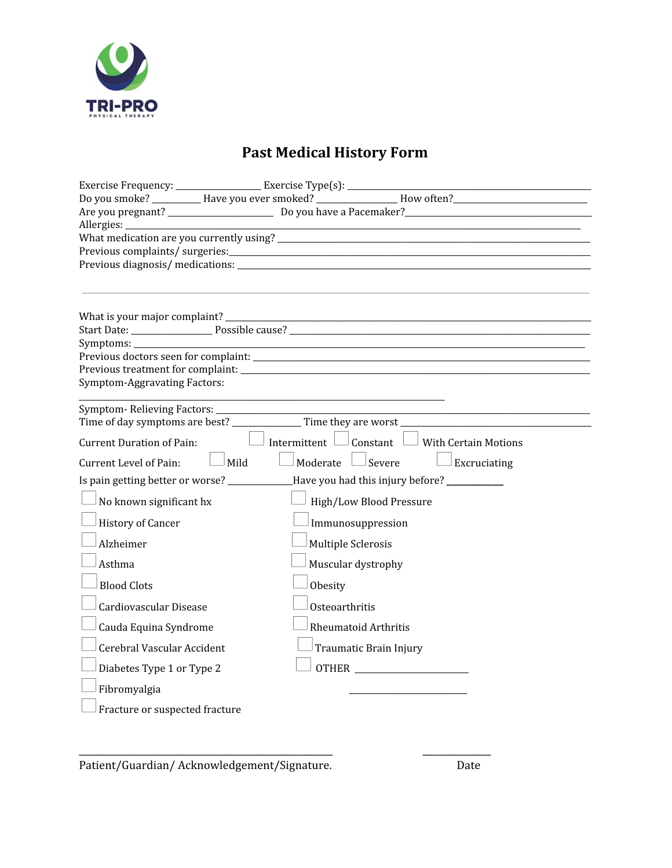

# **Past Medical History Form**

| Exercise Frequency: _______________________ Exercise Type(s): ____________      |      |                        |                                                          |                                                                               |
|---------------------------------------------------------------------------------|------|------------------------|----------------------------------------------------------|-------------------------------------------------------------------------------|
|                                                                                 |      |                        |                                                          | Do you smoke? ____________Have you ever smoked? ___________________How often? |
|                                                                                 |      |                        |                                                          |                                                                               |
|                                                                                 |      |                        |                                                          |                                                                               |
|                                                                                 |      |                        |                                                          |                                                                               |
|                                                                                 |      |                        |                                                          |                                                                               |
|                                                                                 |      |                        |                                                          |                                                                               |
|                                                                                 |      |                        |                                                          |                                                                               |
|                                                                                 |      |                        |                                                          |                                                                               |
|                                                                                 |      |                        |                                                          |                                                                               |
| Symptoms: ____________                                                          |      |                        |                                                          |                                                                               |
|                                                                                 |      |                        |                                                          |                                                                               |
| <b>Symptom-Aggravating Factors:</b>                                             |      |                        |                                                          |                                                                               |
|                                                                                 |      |                        |                                                          |                                                                               |
|                                                                                 |      |                        |                                                          |                                                                               |
|                                                                                 |      |                        |                                                          |                                                                               |
| <b>Current Duration of Pain:</b>                                                |      |                        | Intermittent $\Box$ Constant $\Box$ With Certain Motions |                                                                               |
| Current Level of Pain:                                                          | Mild | Moderate $\Box$ Severe |                                                          | Excruciating                                                                  |
| Is pain getting better or worse? ______________Have you had this injury before? |      |                        |                                                          |                                                                               |
| No known significant hx                                                         |      |                        | High/Low Blood Pressure                                  |                                                                               |
| <b>History of Cancer</b>                                                        |      |                        | Immunosuppression                                        |                                                                               |
| Alzheimer                                                                       |      | Multiple Sclerosis     |                                                          |                                                                               |
| Asthma                                                                          |      | Muscular dystrophy     |                                                          |                                                                               |
| <b>Blood Clots</b>                                                              |      | Obesity                |                                                          |                                                                               |
| Cardiovascular Disease                                                          |      | Osteoarthritis         |                                                          |                                                                               |
| Cauda Equina Syndrome                                                           |      |                        | <b>Rheumatoid Arthritis</b>                              |                                                                               |
| Cerebral Vascular Accident                                                      |      |                        | Traumatic Brain Injury                                   |                                                                               |
| Diabetes Type 1 or Type 2                                                       |      |                        |                                                          |                                                                               |
| Fibromyalgia                                                                    |      |                        |                                                          |                                                                               |
| Fracture or suspected fracture                                                  |      |                        |                                                          |                                                                               |
|                                                                                 |      |                        |                                                          |                                                                               |

Patient/Guardian/Acknowledgement/Signature. The match of Date

\_\_\_\_\_\_\_\_\_\_\_\_\_\_\_\_\_\_\_\_\_\_\_\_\_\_\_\_\_\_\_\_\_\_\_\_\_\_\_\_\_\_\_\_\_\_\_\_\_\_\_\_ \_\_\_\_\_\_\_\_\_\_\_\_\_\_